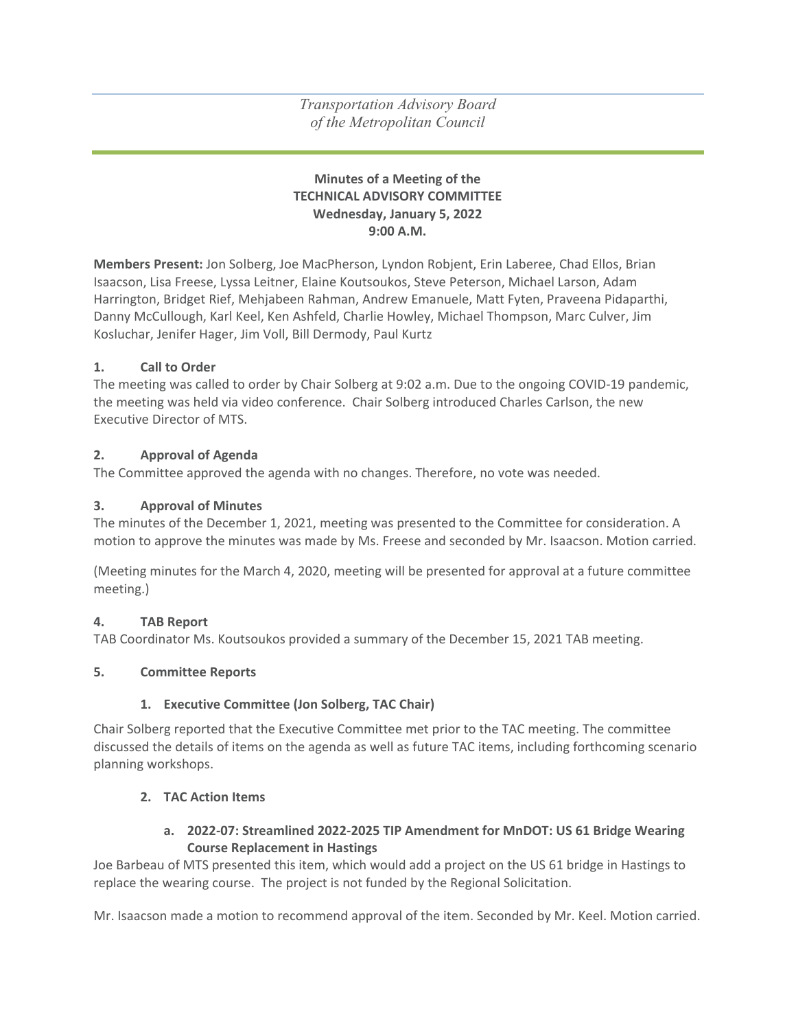*Transportation Advisory Board of the Metropolitan Council*

#### **Minutes of a Meeting of the TECHNICAL ADVISORY COMMITTEE Wednesday, January 5, 2022 9:00 A.M.**

**Members Present:** Jon Solberg, Joe MacPherson, Lyndon Robjent, Erin Laberee, Chad Ellos, Brian Isaacson, Lisa Freese, Lyssa Leitner, Elaine Koutsoukos, Steve Peterson, Michael Larson, Adam Harrington, Bridget Rief, Mehjabeen Rahman, Andrew Emanuele, Matt Fyten, Praveena Pidaparthi, Danny McCullough, Karl Keel, Ken Ashfeld, Charlie Howley, Michael Thompson, Marc Culver, Jim Kosluchar, Jenifer Hager, Jim Voll, Bill Dermody, Paul Kurtz

#### **1. Call to Order**

The meeting was called to order by Chair Solberg at 9:02 a.m. Due to the ongoing COVID-19 pandemic, the meeting was held via video conference. Chair Solberg introduced Charles Carlson, the new Executive Director of MTS.

#### **2. Approval of Agenda**

The Committee approved the agenda with no changes. Therefore, no vote was needed.

#### **3. Approval of Minutes**

The minutes of the December 1, 2021, meeting was presented to the Committee for consideration. A motion to approve the minutes was made by Ms. Freese and seconded by Mr. Isaacson. Motion carried.

(Meeting minutes for the March 4, 2020, meeting will be presented for approval at a future committee meeting.)

#### **4. TAB Report**

TAB Coordinator Ms. Koutsoukos provided a summary of the December 15, 2021 TAB meeting.

#### **5. Committee Reports**

#### **1. Executive Committee (Jon Solberg, TAC Chair)**

Chair Solberg reported that the Executive Committee met prior to the TAC meeting. The committee discussed the details of items on the agenda as well as future TAC items, including forthcoming scenario planning workshops.

#### **2. TAC Action Items**

### **a. 2022-07: Streamlined 2022-2025 TIP Amendment for MnDOT: US 61 Bridge Wearing Course Replacement in Hastings**

Joe Barbeau of MTS presented this item, which would add a project on the US 61 bridge in Hastings to replace the wearing course. The project is not funded by the Regional Solicitation.

Mr. Isaacson made a motion to recommend approval of the item. Seconded by Mr. Keel. Motion carried.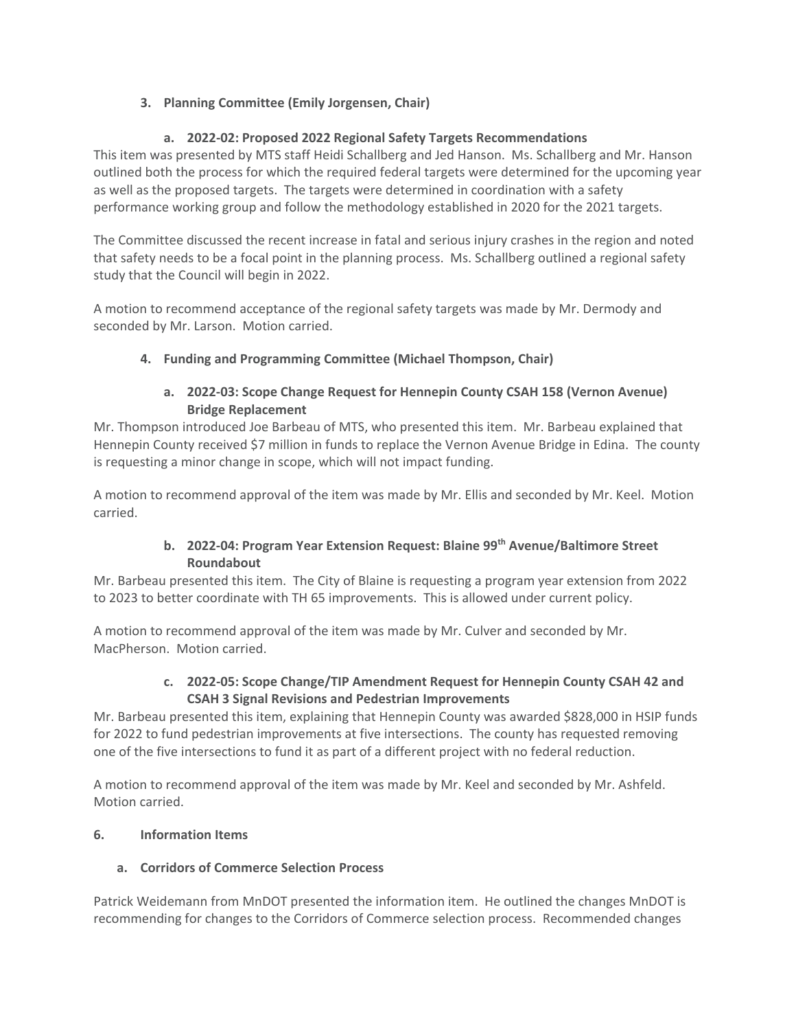# **3. Planning Committee (Emily Jorgensen, Chair)**

## **a. 2022-02: Proposed 2022 Regional Safety Targets Recommendations**

This item was presented by MTS staff Heidi Schallberg and Jed Hanson. Ms. Schallberg and Mr. Hanson outlined both the process for which the required federal targets were determined for the upcoming year as well as the proposed targets. The targets were determined in coordination with a safety performance working group and follow the methodology established in 2020 for the 2021 targets.

The Committee discussed the recent increase in fatal and serious injury crashes in the region and noted that safety needs to be a focal point in the planning process. Ms. Schallberg outlined a regional safety study that the Council will begin in 2022.

A motion to recommend acceptance of the regional safety targets was made by Mr. Dermody and seconded by Mr. Larson. Motion carried.

### **4. Funding and Programming Committee (Michael Thompson, Chair)**

## **a. 2022-03: Scope Change Request for Hennepin County CSAH 158 (Vernon Avenue) Bridge Replacement**

Mr. Thompson introduced Joe Barbeau of MTS, who presented this item. Mr. Barbeau explained that Hennepin County received \$7 million in funds to replace the Vernon Avenue Bridge in Edina. The county is requesting a minor change in scope, which will not impact funding.

A motion to recommend approval of the item was made by Mr. Ellis and seconded by Mr. Keel. Motion carried.

# **b. 2022-04: Program Year Extension Request: Blaine 99th Avenue/Baltimore Street Roundabout**

Mr. Barbeau presented this item. The City of Blaine is requesting a program year extension from 2022 to 2023 to better coordinate with TH 65 improvements. This is allowed under current policy.

A motion to recommend approval of the item was made by Mr. Culver and seconded by Mr. MacPherson. Motion carried.

### **c. 2022-05: Scope Change/TIP Amendment Request for Hennepin County CSAH 42 and CSAH 3 Signal Revisions and Pedestrian Improvements**

Mr. Barbeau presented this item, explaining that Hennepin County was awarded \$828,000 in HSIP funds for 2022 to fund pedestrian improvements at five intersections. The county has requested removing one of the five intersections to fund it as part of a different project with no federal reduction.

A motion to recommend approval of the item was made by Mr. Keel and seconded by Mr. Ashfeld. Motion carried.

### **6. Information Items**

### **a. Corridors of Commerce Selection Process**

Patrick Weidemann from MnDOT presented the information item. He outlined the changes MnDOT is recommending for changes to the Corridors of Commerce selection process. Recommended changes